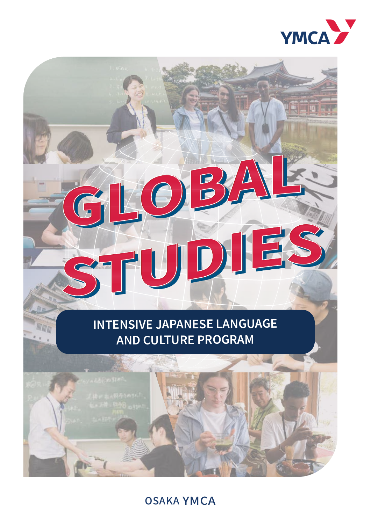

# **INTENSIVE JAPANESE LANGUAGE AND CULTURE PROGRAM**

 $\bigcup$ 

G

WWW u u

ST1



# OSAKA YMCA